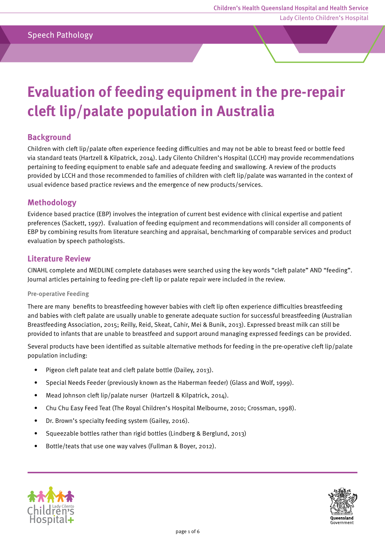# Speech Pathology

# **Evaluation of feeding equipment in the pre-repair cleft lip/palate population in Australia**

## **Background**

Children with cleft lip/palate often experience feeding difficulties and may not be able to breast feed or bottle feed via standard teats (Hartzell & Kilpatrick, 2014). Lady Cilento Children's Hospital (LCCH) may provide recommendations pertaining to feeding equipment to enable safe and adequate feeding and swallowing. A review of the products provided by LCCH and those recommended to families of children with cleft lip/palate was warranted in the context of usual evidence based practice reviews and the emergence of new products/services.

## **Methodology**

Evidence based practice (EBP) involves the integration of current best evidence with clinical expertise and patient preferences (Sackett, 1997). Evaluation of feeding equipment and recommendations will consider all components of EBP by combining results from literature searching and appraisal, benchmarking of comparable services and product evaluation by speech pathologists.

#### **Literature Review**

CINAHL complete and MEDLINE complete databases were searched using the key words "cleft palate" AND "feeding". Journal articles pertaining to feeding pre-cleft lip or palate repair were included in the review.

#### Pre-operative Feeding

There are many benefits to breastfeeding however babies with cleft lip often experience difficulties breastfeeding and babies with cleft palate are usually unable to generate adequate suction for successful breastfeeding (Australian Breastfeeding Association, 2015; Reilly, Reid, Skeat, Cahir, Mei & Bunik, 2013). Expressed breast milk can still be provided to infants that are unable to breastfeed and support around managing expressed feedings can be provided.

Several products have been identified as suitable alternative methods for feeding in the pre-operative cleft lip/palate population including:

- Pigeon cleft palate teat and cleft palate bottle (Dailey, 2013).
- Special Needs Feeder (previously known as the Haberman feeder) (Glass and Wolf, 1999).
- Mead Johnson cleft lip/palate nurser (Hartzell & Kilpatrick, 2014).
- Chu Chu Easy Feed Teat (The Royal Children's Hospital Melbourne, 2010; Crossman, 1998).
- Dr. Brown's specialty feeding system (Gailey, 2016).
- Squeezable bottles rather than rigid bottles (Lindberg & Berglund, 2013)
- Bottle/teats that use one way valves (Fullman & Boyer, 2012).



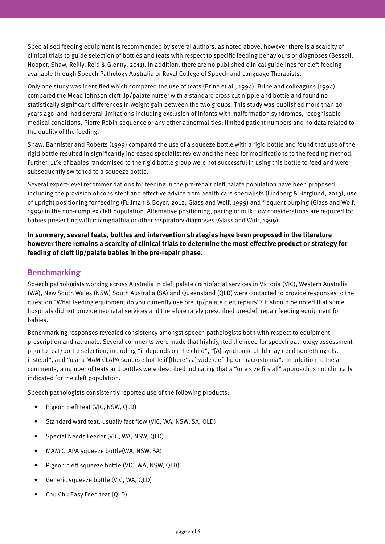Specialised feeding equipment is recommended by several authors, as noted above, however there is a scarcity of clinical trials to guide selection of bottles and teats with respect to specific feeding behaviours or diagnoses (Bessell, Hooper, Shaw, Reilly, Reid & Glenny, 2011). In addition, there are no published clinical guidelines for cleft feeding available through Speech Pathology Australia or Royal College of Speech and Language Therapists.

Only one study was identified which compared the use of teats (Brine et al., 1994). Brine and colleagues (1994) compared the Mead Johnson cleft lip/palate nurser with a standard cross cut nipple and bottle and found no statistically significant differences in weight gain between the two groups. This study was published more than 20 years ago and had several limitations including exclusion of infants with malformation syndromes, recognisable medical conditions, Pierre Robin sequence or any other abnormalities; limited patient numbers and no data related to the quality of the feeding.

Shaw, Bannister and Roberts (1999) compared the use of a squeeze bottle with a rigid bottle and found that use of the rigid bottle resulted in significantly increased specialist review and the need for modifications to the feeding method. Further, 11% of babies randomised to the rigid bottle group were not successful in using this bottle to feed and were subsequently switched to a squeeze bottle.

Several expert-level recommendations for feeding in the pre-repair cleft palate population have been proposed including the provision of consistent and effective advice from health care specialists (Lindberg & Berglund, 2013), use of upright positioning for feeding (Fullman & Boyer, 2012; Glass and Wolf, 1999) and frequent burping (Glass and Wolf, 1999) in the non-complex cleft population. Alternative positioning, pacing or milk flow considerations are required for babies presenting with micrognathia or other respiratory diagnoses (Glass and Wolf, 1999).

**In summary, several teats, bottles and intervention strategies have been proposed in the literature however there remains a scarcity of clinical trials to determine the most effective product or strategy for feeding of cleft lip/palate babies in the pre-repair phase.** 

# **Benchmarking**

Speech pathologists working across Australia in cleft palate craniofacial services in Victoria (VIC), Western Australia (WA), New South Wales (NSW) South Australia (SA) and Queensland (QLD) were contacted to provide responses to the question "What feeding equipment do you currently use pre lip/palate cleft repairs"? It should be noted that some hospitals did not provide neonatal services and therefore rarely prescribed pre-cleft repair feeding equipment for babies.

Benchmarking responses revealed consistency amongst speech pathologists both with respect to equipment prescription and rationale. Several comments were made that highlighted the need for speech pathology assessment prior to teat/bottle selection, including "it depends on the child", "[A] syndromic child may need something else instead", and "use a MAM CLAPA squeeze bottle if [there's a] wide cleft lip or macrostomia". In addition to these comments, a number of teats and bottles were described indicating that a "one size fits all" approach is not clinically indicated for the cleft population.

Speech pathologists consistently reported use of the following products:

- Pigeon cleft teat (VIC, NSW, QLD)
- Standard ward teat, usually fast flow (VIC, WA, NSW, SA, QLD)
- Special Needs Feeder (VIC, WA, NSW, QLD)
- MAM CLAPA squeeze bottle(WA, NSW, SA)
- Pigeon cleft squeeze bottle (VIC, WA, NSW, QLD)
- Generic squeeze bottle (VIC, WA, QLD)
- Chu Chu Easy Feed teat (QLD)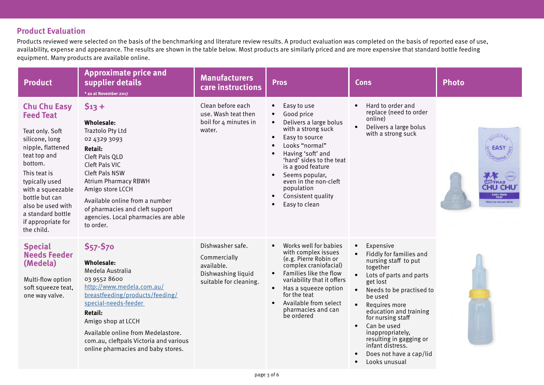# **Product Evaluation**

Products reviewed were selected on the basis of the benchmarking and literature review results. A product evaluation was completed on the basis of reported ease of use, availability, expense and appearance. The results are shown in the table below. Most products are similarly priced and are more expensive that standard bottle feeding equipment. Many products are available online.

| <b>Product</b>                                                                                                                                                                                                                                                                      | <b>Approximate price and</b><br>supplier details<br>* as at November 2017                                                                                                                                                                                                                                                          | <b>Manufacturers</b><br>care instructions                                                      | <b>Pros</b>                                                                                                                                                                                                                                                                                                                                          | <b>Cons</b>                                                                                                                                                                                                                                                                                                                                                                                                                                     | <b>Photo</b>                                                                               |
|-------------------------------------------------------------------------------------------------------------------------------------------------------------------------------------------------------------------------------------------------------------------------------------|------------------------------------------------------------------------------------------------------------------------------------------------------------------------------------------------------------------------------------------------------------------------------------------------------------------------------------|------------------------------------------------------------------------------------------------|------------------------------------------------------------------------------------------------------------------------------------------------------------------------------------------------------------------------------------------------------------------------------------------------------------------------------------------------------|-------------------------------------------------------------------------------------------------------------------------------------------------------------------------------------------------------------------------------------------------------------------------------------------------------------------------------------------------------------------------------------------------------------------------------------------------|--------------------------------------------------------------------------------------------|
| <b>Chu Chu Easy</b><br><b>Feed Teat</b><br>Teat only. Soft<br>silicone, long<br>nipple, flattened<br>teat top and<br>bottom.<br>This teat is<br>typically used<br>with a squeezable<br>bottle but can<br>also be used with<br>a standard bottle<br>if appropriate for<br>the child. | $$13 +$<br><b>Wholesale:</b><br><b>Traztolo Pty Ltd</b><br>02 4329 3093<br><b>Retail:</b><br>Cleft Pals QLD<br>Cleft Pals VIC<br><b>Cleft Pals NSW</b><br><b>Atrium Pharmacy RBWH</b><br>Amigo store LCCH<br>Available online from a number<br>of pharmacies and cleft support<br>agencies. Local pharmacies are able<br>to order. | Clean before each<br>use. Wash teat then<br>boil for 4 minutes in<br>water.                    | Easy to use<br>$\bullet$<br>Good price<br>$\bullet$<br>Delivers a large bolus<br>$\bullet$<br>with a strong suck<br>Easy to source<br>$\bullet$<br>Looks "normal"<br>Having 'soft' and<br>'hard' sides to the teat<br>is a good feature<br>Seems popular,<br>even in the non-cleft<br>population<br>Consistent quality<br>$\bullet$<br>Easy to clean | Hard to order and<br>$\bullet$<br>replace (need to order<br>online)<br>Delivers a large bolus<br>$\bullet$<br>with a strong suck                                                                                                                                                                                                                                                                                                                | ILICON<br><b>EASY</b><br><b>WTRAZ</b><br>4U CHU<br>EASY FEED<br>When only the best will do |
| <b>Special</b><br><b>Needs Feeder</b><br>(Medela)<br>Multi-flow option<br>soft squeeze teat,<br>one way valve.                                                                                                                                                                      | \$57-\$70<br><b>Wholesale:</b><br>Medela Australia<br>03 9552 8600<br>http://www.medela.com.au/<br>breastfeeding/products/feeding/<br>special-needs-feeder<br><b>Retail:</b><br>Amigo shop at LCCH<br>Available online from Medelastore.<br>com.au, cleftpals Victoria and various<br>online pharmacies and baby stores.           | Dishwasher safe.<br>Commercially<br>available.<br>Dishwashing liquid<br>suitable for cleaning. | Works well for babies<br>$\bullet$<br>with complex issues<br>(e.g. Pierre Robin or<br>complex craniofacial)<br>Families like the flow<br>$\bullet$<br>variability that it offers<br>Has a squeeze option<br>$\bullet$<br>for the teat<br>Available from select<br>$\bullet$<br>pharmacies and can<br>be ordered                                      | Expensive<br>$\bullet$<br>Fiddly for families and<br>$\bullet$<br>nursing staff to put<br>together<br>$\bullet$<br>Lots of parts and parts<br>get lost<br>$\bullet$<br>Needs to be practised to<br>be used<br>Requires more<br>$\bullet$<br>education and training<br>for nursing staff<br>Can be used<br>$\bullet$<br>inappropriately,<br>resulting in gagging or<br>infant distress.<br>Does not have a cap/lid<br>Looks unusual<br>$\bullet$ |                                                                                            |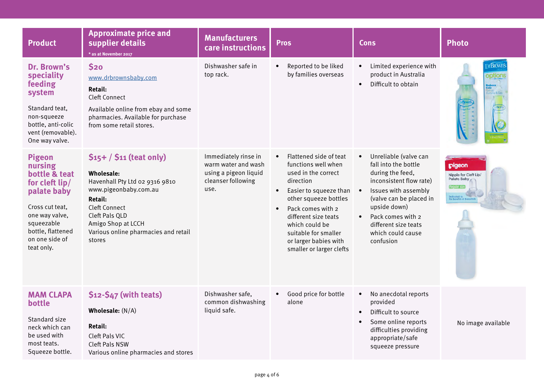| Product                                                                                                                                                                            | <b>Approximate price and</b><br>supplier details<br>* as at November 2017                                                                                                                                                             | <b>Manufacturers</b><br>care instructions                                                          | <b>Pros</b>                                                                                                                                                                                                                                                                                                | <b>Cons</b>                                                                                                                                                                                                                                                                           | <b>Photo</b>                                                                           |
|------------------------------------------------------------------------------------------------------------------------------------------------------------------------------------|---------------------------------------------------------------------------------------------------------------------------------------------------------------------------------------------------------------------------------------|----------------------------------------------------------------------------------------------------|------------------------------------------------------------------------------------------------------------------------------------------------------------------------------------------------------------------------------------------------------------------------------------------------------------|---------------------------------------------------------------------------------------------------------------------------------------------------------------------------------------------------------------------------------------------------------------------------------------|----------------------------------------------------------------------------------------|
| Dr. Brown's<br>speciality<br>feeding<br>system<br>Standard teat,<br>non-squeeze<br>bottle, anti-colic<br>vent (removable).<br>One way valve.                                       | \$20<br>www.drbrownsbaby.com<br>Retail:<br><b>Cleft Connect</b><br>Available online from ebay and some<br>pharmacies. Available for purchase<br>from some retail stores.                                                              | Dishwasher safe in<br>top rack.                                                                    | Reported to be liked<br>by families overseas                                                                                                                                                                                                                                                               | Limited experience with<br>$\bullet$<br>product in Australia<br>Difficult to obtain<br>$\bullet$                                                                                                                                                                                      | Dr <b>Brown</b><br><u>option:</u>                                                      |
| <b>Pigeon</b><br>nursing<br>bottle & teat<br>for cleft lip/<br>palate baby<br>Cross cut teat,<br>one way valve,<br>squeezable<br>bottle, flattened<br>on one side of<br>teat only. | $$15+ / $11$ (teat only)<br><b>Wholesale:</b><br>Havenhall Pty Ltd 02 9316 9810<br>www.pigeonbaby.com.au<br><b>Retail:</b><br>Cleft Connect<br>Cleft Pals QLD<br>Amigo Shop at LCCH<br>Various online pharmacies and retail<br>stores | Immediately rinse in<br>warm water and wash<br>using a pigeon liquid<br>cleanser following<br>use. | Flattened side of teat<br>functions well when<br>used in the correct<br>direction<br>Easier to squeeze than<br>$\bullet$<br>other squeeze bottles<br>Pack comes with 2<br>$\bullet$<br>different size teats<br>which could be<br>suitable for smaller<br>or larger babies with<br>smaller or larger clefts | Unreliable (valve can<br>$\bullet$<br>fall into the bottle<br>during the feed,<br>inconsistent flow rate)<br>Issues with assembly<br>$\bullet$<br>(valve can be placed in<br>upside down)<br>Pack comes with 2<br>$\bullet$<br>different size teats<br>which could cause<br>confusion | pigeon<br>Nipple for Cleft Lip.<br>Palate Baby<br>Dedicated to<br>the Benefits of Bret |
| <b>MAM CLAPA</b><br>bottle<br>Standard size<br>neck which can<br>be used with<br>most teats.<br>Squeeze bottle.                                                                    | \$12-\$47 (with teats)<br>Wholesale: (N/A)<br><b>Retail:</b><br>Cleft Pals VIC<br><b>Cleft Pals NSW</b><br>Various online pharmacies and stores                                                                                       | Dishwasher safe,<br>common dishwashing<br>liquid safe.                                             | Good price for bottle<br>alone                                                                                                                                                                                                                                                                             | No anecdotal reports<br>$\bullet$<br>provided<br>Difficult to source<br>$\bullet$<br>Some online reports<br>$\bullet$<br>difficulties providing<br>appropriate/safe<br>squeeze pressure                                                                                               | No image available                                                                     |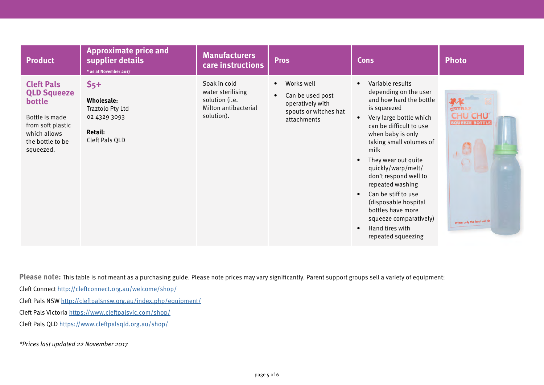| <b>Product</b>                                                                                                                            | <b>Approximate price and</b><br>supplier details<br>* as at November 2017                          | <b>Manufacturers</b><br>care instructions                                                 | <b>Pros</b>                                                                                             | <b>Cons</b>                                                                                                                                                                                                                                                                                                                                                                                                                                                                            | <b>Photo</b>                                                                           |
|-------------------------------------------------------------------------------------------------------------------------------------------|----------------------------------------------------------------------------------------------------|-------------------------------------------------------------------------------------------|---------------------------------------------------------------------------------------------------------|----------------------------------------------------------------------------------------------------------------------------------------------------------------------------------------------------------------------------------------------------------------------------------------------------------------------------------------------------------------------------------------------------------------------------------------------------------------------------------------|----------------------------------------------------------------------------------------|
| <b>Cleft Pals</b><br><b>QLD Squeeze</b><br>bottle<br>Bottle is made<br>from soft plastic<br>which allows<br>the bottle to be<br>squeezed. | $55+$<br><b>Wholesale:</b><br>Traztolo Pty Ltd<br>02 4329 3093<br><b>Retail:</b><br>Cleft Pals QLD | Soak in cold<br>water sterilising<br>solution (i.e.<br>Milton antibacterial<br>solution). | Works well<br>$\bullet$<br>Can be used post<br>operatively with<br>spouts or witches hat<br>attachments | Variable results<br>$\bullet$<br>depending on the user<br>and how hard the bottle<br>is squeezed<br>Very large bottle which<br>$\bullet$<br>can be difficult to use<br>when baby is only<br>taking small volumes of<br>milk<br>They wear out quite<br>quickly/warp/melt/<br>don't respond well to<br>repeated washing<br>Can be stiff to use<br>$\bullet$<br>(disposable hospital<br>bottles have more<br>squeeze comparatively)<br>Hand tires with<br>$\bullet$<br>repeated squeezing | <b>NUTRAZ</b><br><b>CHU CHU</b><br><b>SQUEEZE BOTTLE</b><br>When only the best will do |

Please note: This table is not meant as a purchasing guide. Please note prices may vary significantly. Parent support groups sell a variety of equipment:

Cleft Connect <http://cleftconnect.org.au/welcome/shop/>

Cleft Pals NSW<http://cleftpalsnsw.org.au/index.php/equipment/>

Cleft Pals Victoria <https://www.cleftpalsvic.com/shop/>

Cleft Pals QLD <https://www.cleftpalsqld.org.au/shop/>

<sup>\*</sup>Prices last updated 22 November 2017